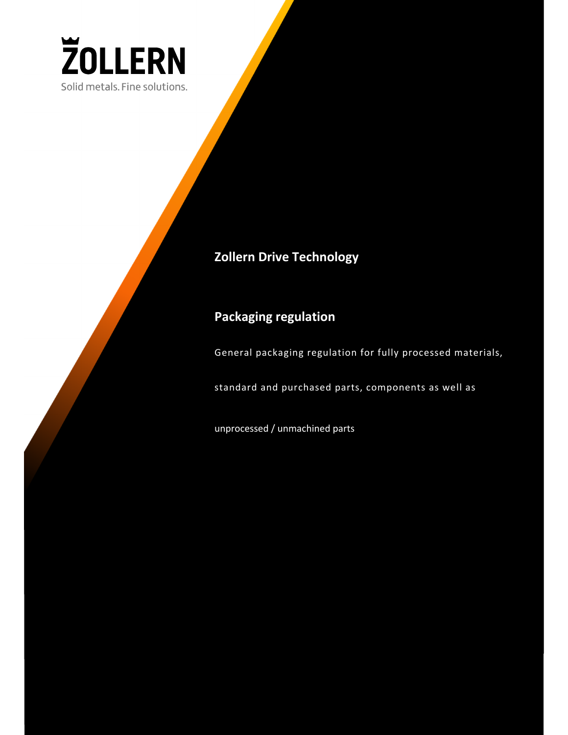

## **Zollern Drive Technology**

## **Packaging regulation**

General packaging regulation for fully processed materials,

standard and purchased parts, components as well as

unprocessed / unmachined parts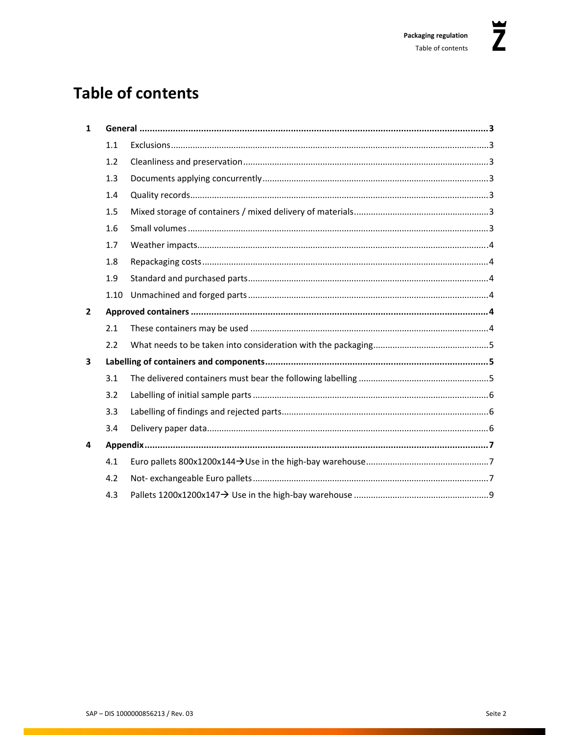# **Table of contents**

| $\mathbf{1}$            |      |  |  |  |  |
|-------------------------|------|--|--|--|--|
|                         | 1.1  |  |  |  |  |
|                         | 1.2  |  |  |  |  |
|                         | 1.3  |  |  |  |  |
|                         | 1.4  |  |  |  |  |
|                         | 1.5  |  |  |  |  |
|                         | 1.6  |  |  |  |  |
|                         | 1.7  |  |  |  |  |
|                         | 1.8  |  |  |  |  |
|                         | 1.9  |  |  |  |  |
|                         | 1.10 |  |  |  |  |
| $\overline{2}$          |      |  |  |  |  |
|                         | 2.1  |  |  |  |  |
|                         | 2.2  |  |  |  |  |
| $\overline{\mathbf{3}}$ |      |  |  |  |  |
|                         | 3.1  |  |  |  |  |
|                         | 3.2  |  |  |  |  |
|                         | 3.3  |  |  |  |  |
|                         | 3.4  |  |  |  |  |
| 4                       |      |  |  |  |  |
|                         | 4.1  |  |  |  |  |
|                         | 4.2  |  |  |  |  |
|                         | 4.3  |  |  |  |  |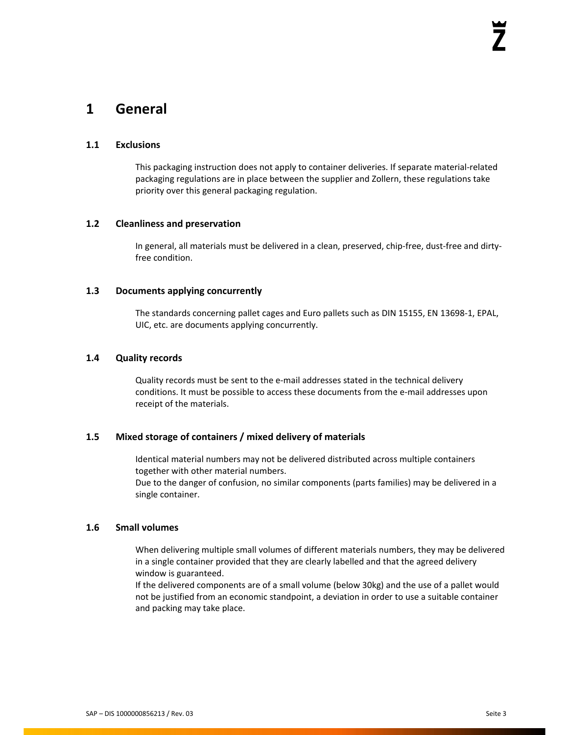### **1 General**

#### **1.1 Exclusions**

This packaging instruction does not apply to container deliveries. If separate material‐related packaging regulations are in place between the supplier and Zollern, these regulations take priority over this general packaging regulation.

#### **1.2 Cleanliness and preservation**

In general, all materials must be delivered in a clean, preserved, chip-free, dust-free and dirtyfree condition.

### **1.3 Documents applying concurrently**

The standards concerning pallet cages and Euro pallets such as DIN 15155, EN 13698‐1, EPAL, UIC, etc. are documents applying concurrently.

#### **1.4 Quality records**

Quality records must be sent to the e‐mail addresses stated in the technical delivery conditions. It must be possible to access these documents from the e-mail addresses upon receipt of the materials.

### **1.5 Mixed storage of containers / mixed delivery of materials**

Identical material numbers may not be delivered distributed across multiple containers together with other material numbers.

Due to the danger of confusion, no similar components (parts families) may be delivered in a single container.

### **1.6 Small volumes**

When delivering multiple small volumes of different materials numbers, they may be delivered in a single container provided that they are clearly labelled and that the agreed delivery window is guaranteed.

If the delivered components are of a small volume (below 30kg) and the use of a pallet would not be justified from an economic standpoint, a deviation in order to use a suitable container and packing may take place.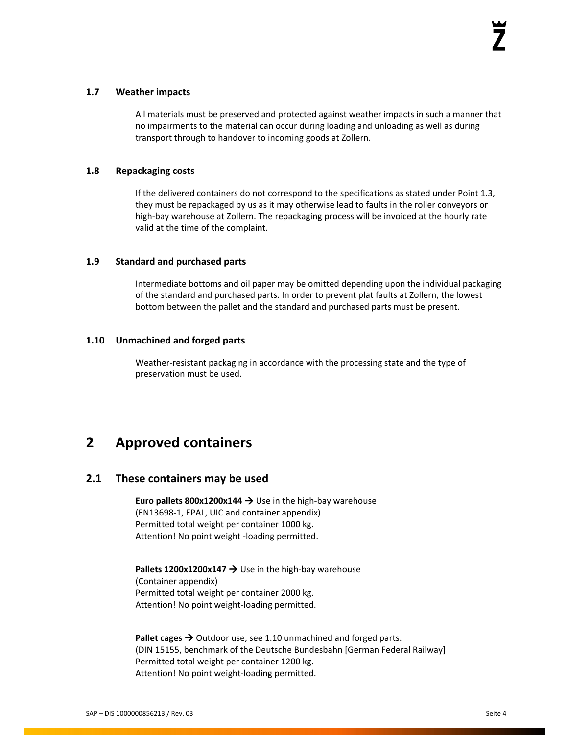### **1.7 Weather impacts**

All materials must be preserved and protected against weather impacts in such a manner that no impairments to the material can occur during loading and unloading as well as during transport through to handover to incoming goods at Zollern.

### **1.8 Repackaging costs**

If the delivered containers do not correspond to the specifications as stated under Point 1.3, they must be repackaged by us as it may otherwise lead to faults in the roller conveyors or high-bay warehouse at Zollern. The repackaging process will be invoiced at the hourly rate valid at the time of the complaint.

### **1.9 Standard and purchased parts**

Intermediate bottoms and oil paper may be omitted depending upon the individual packaging of the standard and purchased parts. In order to prevent plat faults at Zollern, the lowest bottom between the pallet and the standard and purchased parts must be present.

#### **1.10 Unmachined and forged parts**

Weather-resistant packaging in accordance with the processing state and the type of preservation must be used.

## **2 Approved containers**

### **2.1 These containers may be used**

**Euro pallets 800x1200x144** Use in the high‐bay warehouse (EN13698‐1, EPAL, UIC and container appendix) Permitted total weight per container 1000 kg. Attention! No point weight ‐loading permitted.

**Pallets 1200x1200x147 → Use in the high-bay warehouse** (Container appendix) Permitted total weight per container 2000 kg. Attention! No point weight‐loading permitted.

Pallet cages  $\rightarrow$  Outdoor use, see 1.10 unmachined and forged parts. (DIN 15155, benchmark of the Deutsche Bundesbahn [German Federal Railway] Permitted total weight per container 1200 kg. Attention! No point weight‐loading permitted.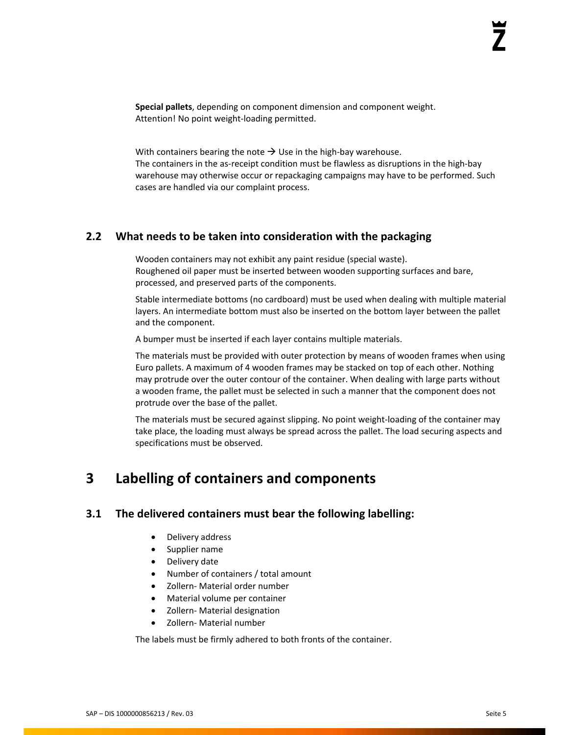**Special pallets**, depending on component dimension and component weight. Attention! No point weight‐loading permitted.

With containers bearing the note  $\rightarrow$  Use in the high-bay warehouse. The containers in the as-receipt condition must be flawless as disruptions in the high-bay warehouse may otherwise occur or repackaging campaigns may have to be performed. Such cases are handled via our complaint process.

### **2.2 What needs to be taken into consideration with the packaging**

Wooden containers may not exhibit any paint residue (special waste). Roughened oil paper must be inserted between wooden supporting surfaces and bare, processed, and preserved parts of the components.

Stable intermediate bottoms (no cardboard) must be used when dealing with multiple material layers. An intermediate bottom must also be inserted on the bottom layer between the pallet and the component.

A bumper must be inserted if each layer contains multiple materials.

The materials must be provided with outer protection by means of wooden frames when using Euro pallets. A maximum of 4 wooden frames may be stacked on top of each other. Nothing may protrude over the outer contour of the container. When dealing with large parts without a wooden frame, the pallet must be selected in such a manner that the component does not protrude over the base of the pallet.

The materials must be secured against slipping. No point weight‐loading of the container may take place, the loading must always be spread across the pallet. The load securing aspects and specifications must be observed.

### **3 Labelling of containers and components**

### **3.1 The delivered containers must bear the following labelling:**

- Delivery address
- Supplier name
- Delivery date
- Number of containers / total amount
- Zollern‐ Material order number
- Material volume per container
- Zollern‐ Material designation
- Zollern‐ Material number

The labels must be firmly adhered to both fronts of the container.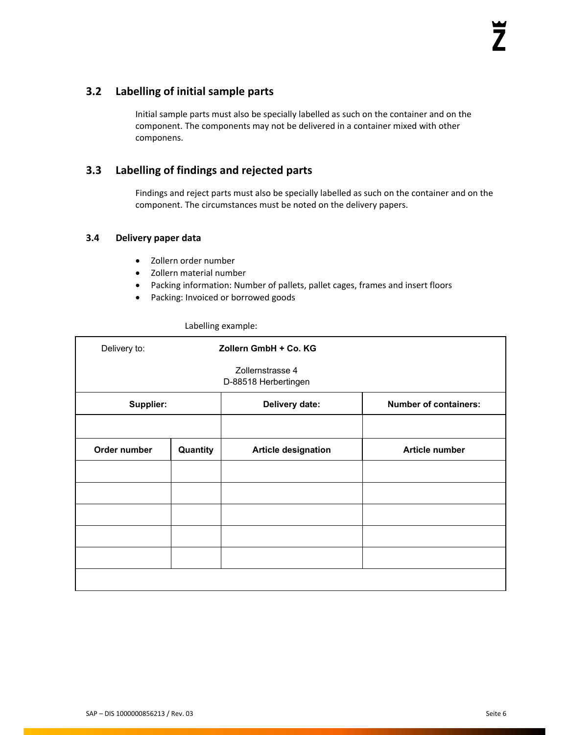### **3.2 Labelling of initial sample parts**

Initial sample parts must also be specially labelled as such on the container and on the component. The components may not be delivered in a container mixed with other componens.

### **3.3 Labelling of findings and rejected parts**

Findings and reject parts must also be specially labelled as such on the container and on the component. The circumstances must be noted on the delivery papers.

### **3.4 Delivery paper data**

- Zollern order number
- Zollern material number
- Packing information: Number of pallets, pallet cages, frames and insert floors
- Packing: Invoiced or borrowed goods

| Delivery to: |          | Zollern GmbH + Co. KG                    |                              |
|--------------|----------|------------------------------------------|------------------------------|
|              |          | Zollernstrasse 4<br>D-88518 Herbertingen |                              |
| Supplier:    |          | Delivery date:                           | <b>Number of containers:</b> |
|              |          |                                          |                              |
| Order number | Quantity | <b>Article designation</b>               | <b>Article number</b>        |
|              |          |                                          |                              |
|              |          |                                          |                              |
|              |          |                                          |                              |
|              |          |                                          |                              |
|              |          |                                          |                              |
|              |          |                                          |                              |

#### Labelling example: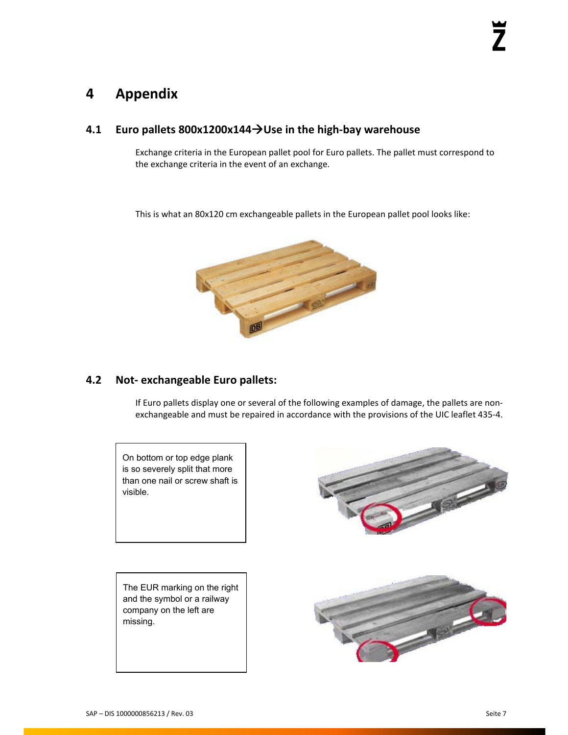## **4 Appendix**

### **4.1 Euro pallets 800x1200x144Use in the high‐bay warehouse**

Exchange criteria in the European pallet pool for Euro pallets. The pallet must correspond to the exchange criteria in the event of an exchange.

This is what an 80x120 cm exchangeable pallets in the European pallet pool looks like:



### **4.2 Not‐ exchangeable Euro pallets:**

If Euro pallets display one or several of the following examples of damage, the pallets are non‐ exchangeable and must be repaired in accordance with the provisions of the UIC leaflet 435‐4.

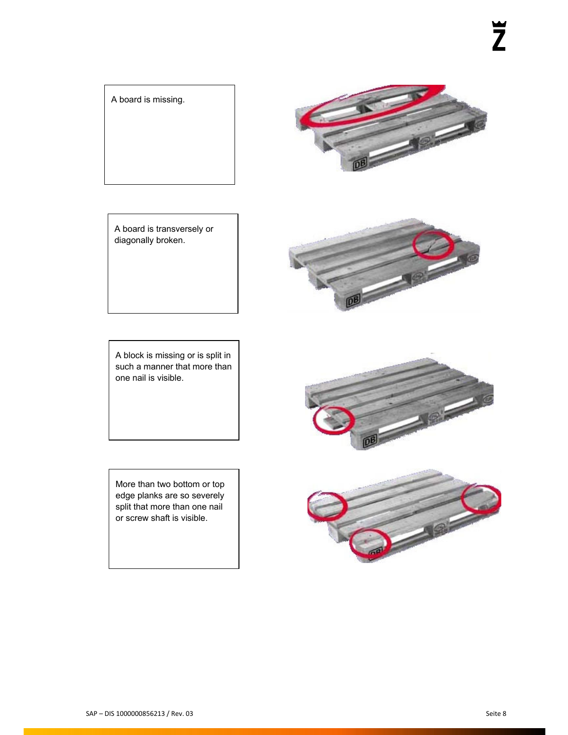A board is missing.



A board is transversely or diagonally broken.



More than two bottom or top edge planks are so severely split that more than one nail or screw shaft is visible.





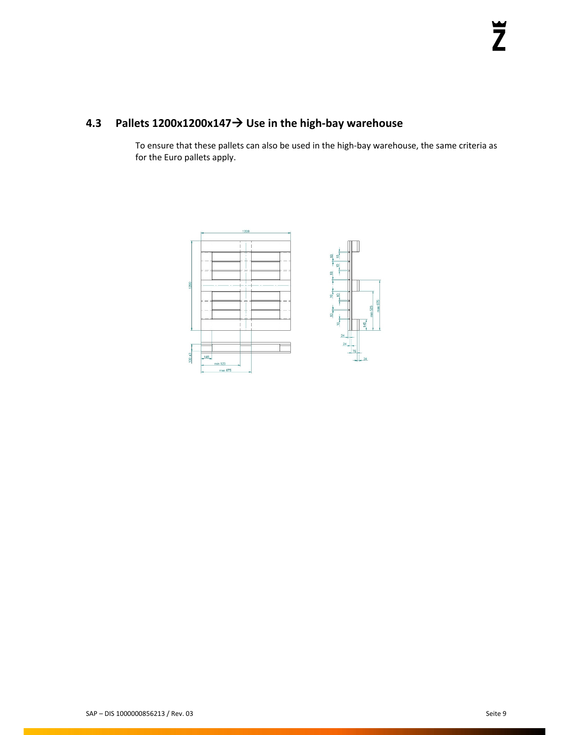### **4.3 Pallets 1200x1200x147 Use in the high‐bay warehouse**

To ensure that these pallets can also be used in the high‐bay warehouse, the same criteria as for the Euro pallets apply.